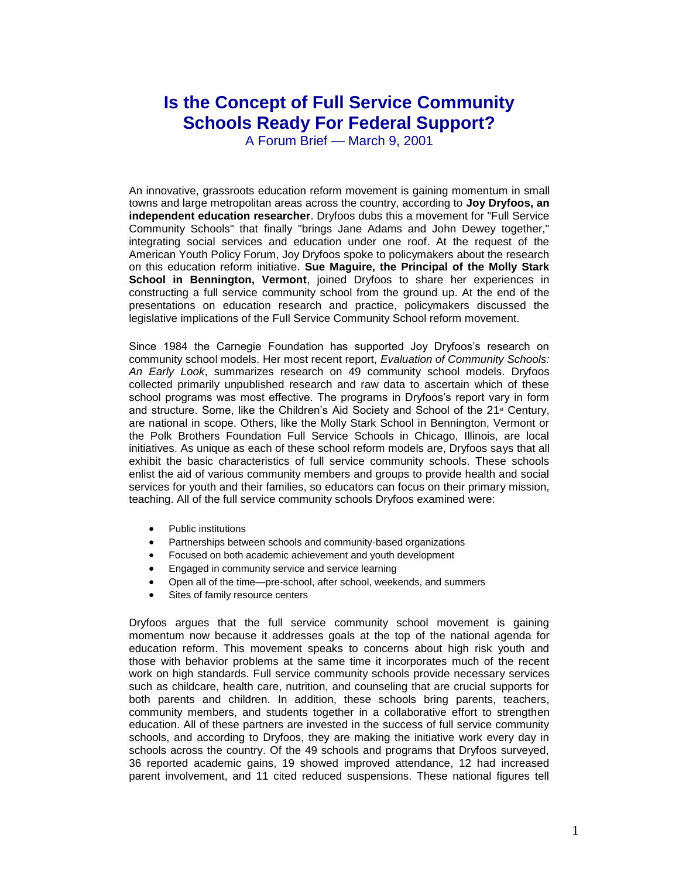## **Is the Concept of Full Service Community Schools Ready For Federal Support?**

A Forum Brief — March 9, 2001

An innovative, grassroots education reform movement is gaining momentum in small towns and large metropolitan areas across the country, according to **Joy Dryfoos, an independent education researcher**. Dryfoos dubs this a movement for "Full Service Community Schools" that finally "brings Jane Adams and John Dewey together," integrating social services and education under one roof. At the request of the American Youth Policy Forum, Joy Dryfoos spoke to policymakers about the research on this education reform initiative. **Sue Maguire, the Principal of the Molly Stark School in Bennington, Vermont**, joined Dryfoos to share her experiences in constructing a full service community school from the ground up. At the end of the presentations on education research and practice, policymakers discussed the legislative implications of the Full Service Community School reform movement.

Since 1984 the Carnegie Foundation has supported Joy Dryfoos's research on community school models. Her most recent report, *Evaluation of Community Schools: An Early Look*, summarizes research on 49 community school models. Dryfoos collected primarily unpublished research and raw data to ascertain which of these school programs was most effective. The programs in Dryfoos's report vary in form and structure. Some, like the Children's Aid Society and School of the  $21^{\omega}$  Century, are national in scope. Others, like the Molly Stark School in Bennington, Vermont or the Polk Brothers Foundation Full Service Schools in Chicago, Illinois, are local initiatives. As unique as each of these school reform models are, Dryfoos says that all exhibit the basic characteristics of full service community schools. These schools enlist the aid of various community members and groups to provide health and social services for youth and their families, so educators can focus on their primary mission, teaching. All of the full service community schools Dryfoos examined were:

- Public institutions
- Partnerships between schools and community-based organizations
- Focused on both academic achievement and youth development
- Engaged in community service and service learning
- Open all of the time—pre-school, after school, weekends, and summers
- Sites of family resource centers

Dryfoos argues that the full service community school movement is gaining momentum now because it addresses goals at the top of the national agenda for education reform. This movement speaks to concerns about high risk youth and those with behavior problems at the same time it incorporates much of the recent work on high standards. Full service community schools provide necessary services such as childcare, health care, nutrition, and counseling that are crucial supports for both parents and children. In addition, these schools bring parents, teachers, community members, and students together in a collaborative effort to strengthen education. All of these partners are invested in the success of full service community schools, and according to Dryfoos, they are making the initiative work every day in schools across the country. Of the 49 schools and programs that Dryfoos surveyed, 36 reported academic gains, 19 showed improved attendance, 12 had increased parent involvement, and 11 cited reduced suspensions. These national figures tell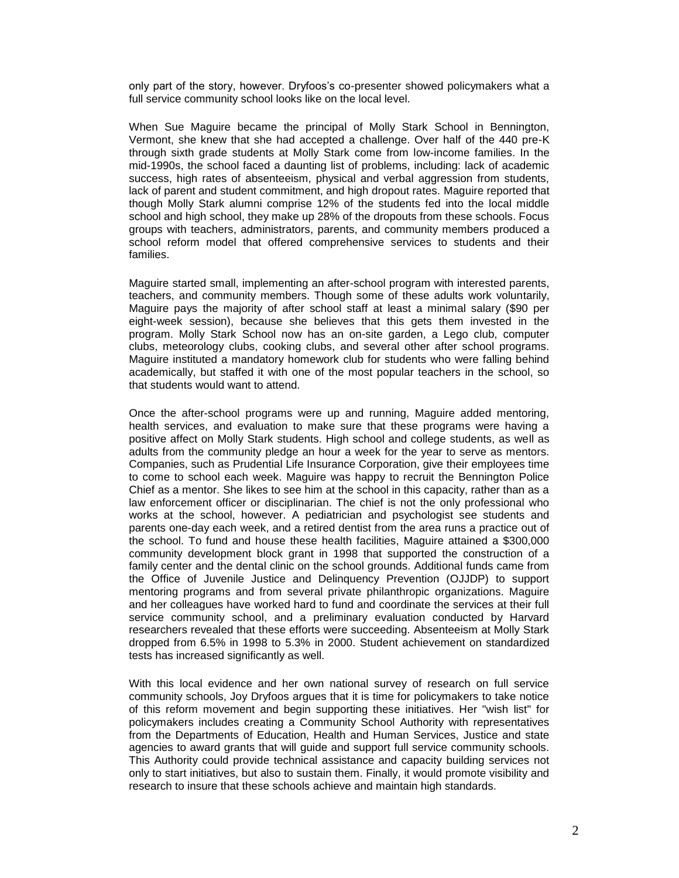only part of the story, however. Dryfoos's co-presenter showed policymakers what a full service community school looks like on the local level.

When Sue Maguire became the principal of Molly Stark School in Bennington, Vermont, she knew that she had accepted a challenge. Over half of the 440 pre-K through sixth grade students at Molly Stark come from low-income families. In the mid-1990s, the school faced a daunting list of problems, including: lack of academic success, high rates of absenteeism, physical and verbal aggression from students, lack of parent and student commitment, and high dropout rates. Maguire reported that though Molly Stark alumni comprise 12% of the students fed into the local middle school and high school, they make up 28% of the dropouts from these schools. Focus groups with teachers, administrators, parents, and community members produced a school reform model that offered comprehensive services to students and their families.

Maguire started small, implementing an after-school program with interested parents, teachers, and community members. Though some of these adults work voluntarily, Maguire pays the majority of after school staff at least a minimal salary (\$90 per eight-week session), because she believes that this gets them invested in the program. Molly Stark School now has an on-site garden, a Lego club, computer clubs, meteorology clubs, cooking clubs, and several other after school programs. Maguire instituted a mandatory homework club for students who were falling behind academically, but staffed it with one of the most popular teachers in the school, so that students would want to attend.

Once the after-school programs were up and running, Maguire added mentoring, health services, and evaluation to make sure that these programs were having a positive affect on Molly Stark students. High school and college students, as well as adults from the community pledge an hour a week for the year to serve as mentors. Companies, such as Prudential Life Insurance Corporation, give their employees time to come to school each week. Maguire was happy to recruit the Bennington Police Chief as a mentor. She likes to see him at the school in this capacity, rather than as a law enforcement officer or disciplinarian. The chief is not the only professional who works at the school, however. A pediatrician and psychologist see students and parents one-day each week, and a retired dentist from the area runs a practice out of the school. To fund and house these health facilities, Maguire attained a \$300,000 community development block grant in 1998 that supported the construction of a family center and the dental clinic on the school grounds. Additional funds came from the Office of Juvenile Justice and Delinquency Prevention (OJJDP) to support mentoring programs and from several private philanthropic organizations. Maguire and her colleagues have worked hard to fund and coordinate the services at their full service community school, and a preliminary evaluation conducted by Harvard researchers revealed that these efforts were succeeding. Absenteeism at Molly Stark dropped from 6.5% in 1998 to 5.3% in 2000. Student achievement on standardized tests has increased significantly as well.

With this local evidence and her own national survey of research on full service community schools, Joy Dryfoos argues that it is time for policymakers to take notice of this reform movement and begin supporting these initiatives. Her "wish list" for policymakers includes creating a Community School Authority with representatives from the Departments of Education, Health and Human Services, Justice and state agencies to award grants that will guide and support full service community schools. This Authority could provide technical assistance and capacity building services not only to start initiatives, but also to sustain them. Finally, it would promote visibility and research to insure that these schools achieve and maintain high standards.